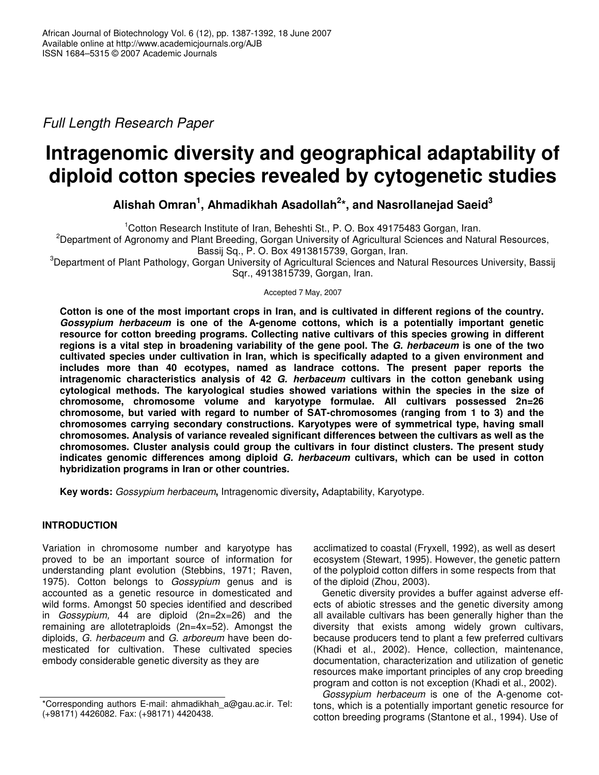*Full Length Research Paper*

# **Intragenomic diversity and geographical adaptability of diploid cotton species revealed by cytogenetic studies**

**Alishah Omran 1 , Ahmadikhah Asadollah 2 \*, and Nasrollanejad Saeid 3**

<sup>1</sup>Cotton Research Institute of Iran, Beheshti St., P. O. Box 49175483 Gorgan, Iran.

<sup>2</sup>Department of Agronomy and Plant Breeding, Gorgan University of Agricultural Sciences and Natural Resources, Bassij Sq., P. O. Box 4913815739, Gorgan, Iran.

<sup>3</sup>Department of Plant Pathology, Gorgan University of Agricultural Sciences and Natural Resources University, Bassij Sqr., 4913815739, Gorgan, Iran.

Accepted 7 May, 2007

Cotton is one of the most important crops in Iran, and is cultivated in different regions of the country. *Gossypium herbaceum* **is one of the A-genome cottons, which is a potentially important genetic resource for cotton breeding programs. Collecting native cultivars of this species growing in different** regions is a vital step in broadening variability of the gene pool. The G. herbaceum is one of the two **cultivated species under cultivation in Iran, which is specifically adapted to a given environment and includes more than 40 ecotypes, named as landrace cottons. The present paper reports the intragenomic characteristics analysis of 42** *G. herbaceum* **cultivars in the cotton genebank using cytological methods. The karyological studies showed variations within the species in the size of chromosome, chromosome volume and karyotype formulae. All cultivars possessed 2n=26 chromosome, but varied with regard to number of SAT-chromosomes (ranging from 1 to 3) and the chromosomes carrying secondary constructions. Karyotypes were of symmetrical type, having small chromosomes. Analysis of variance revealed significant differences between the cultivars as well as the chromosomes. Cluster analysis could group the cultivars in four distinct clusters. The present study indicates genomic differences among diploid** *G. herbaceum* **cultivars, which can be used in cotton hybridization programs in Iran or other countries.**

**Key words:** *Gossypium herbaceum***,** Intragenomic diversity**,** Adaptability, Karyotype.

## **INTRODUCTION**

Variation in chromosome number and karyotype has proved to be an important source of information for understanding plant evolution (Stebbins, 1971; Raven, 1975). Cotton belongs to *Gossypium* genus and is accounted as a genetic resource in domesticated and wild forms. Amongst 50 species identified and described in *Gossypium,* 44 are diploid (2n=2x=26) and the remaining are allotetraploids (2n=4x=52). Amongst the diploids, *G. herbaceum* and *G. arboreum* have been domesticated for cultivation. These cultivated species embody considerable genetic diversity as they are

acclimatized to coastal (Fryxell, 1992), as well as desert ecosystem (Stewart, 1995). However, the genetic pattern of the polyploid cotton differs in some respects from that of the diploid (Zhou, 2003).

Genetic diversity provides a buffer against adverse effects of abiotic stresses and the genetic diversity among all available cultivars has been generally higher than the diversity that exists among widely grown cultivars, because producers tend to plant a few preferred cultivars (Khadi et al., 2002). Hence, collection, maintenance, documentation, characterization and utilization of genetic resources make important principles of any crop breeding program and cotton is not exception (Khadi et al., 2002).

*Gossypium herbaceum* is one of the A-genome cottons, which is a potentially important genetic resource for cotton breeding programs (Stantone et al., 1994). Use of

<sup>\*</sup>Corresponding authors E-mail: ahmadikhah\_a@gau.ac.ir. Tel: (+98171) 4426082. Fax: (+98171) 4420438.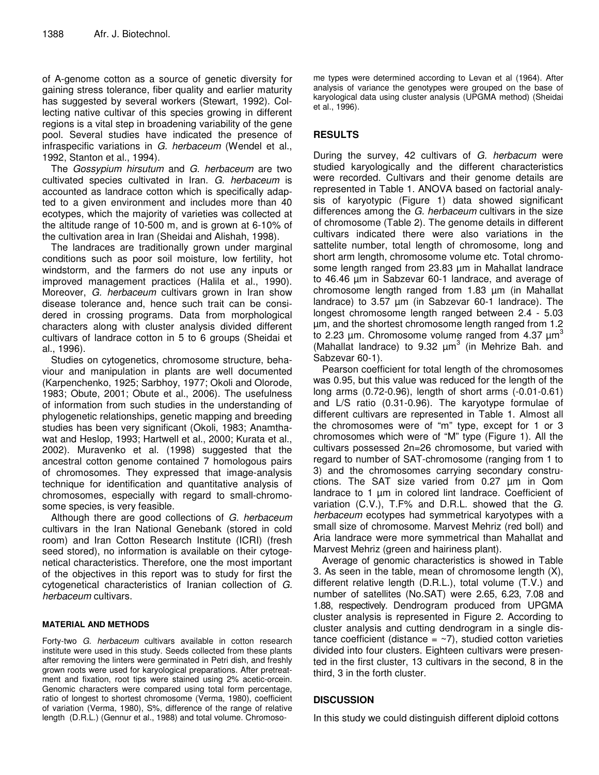of A-genome cotton as a source of genetic diversity for gaining stress tolerance, fiber quality and earlier maturity has suggested by several workers (Stewart, 1992). Collecting native cultivar of this species growing in different regions is a vital step in broadening variability of the gene pool. Several studies have indicated the presence of infraspecific variations in *G. herbaceum* (Wendel et al., 1992, Stanton et al., 1994).

The *Gossypium hirsutum* and *G. herbaceum* are two cultivated species cultivated in Iran. *G. herbaceum* is accounted as landrace cotton which is specifically adapted to a given environment and includes more than 40 ecotypes, which the majority of varieties was collected at the altitude range of 10-500 m, and is grown at 6-10% of the cultivation area in Iran (Sheidai and Alishah, 1998).

The landraces are traditionally grown under marginal conditions such as poor soil moisture, low fertility, hot windstorm, and the farmers do not use any inputs or improved management practices (Halila et al., 1990). Moreover, *G. herbaceum* cultivars grown in Iran show disease tolerance and, hence such trait can be considered in crossing programs. Data from morphological characters along with cluster analysis divided different cultivars of landrace cotton in 5 to 6 groups (Sheidai et al., 1996).

Studies on cytogenetics, chromosome structure, behaviour and manipulation in plants are well documented (Karpenchenko, 1925; Sarbhoy, 1977; Okoli and Olorode, 1983; Obute, 2001; Obute et al., 2006). The usefulness of information from such studies in the understanding of phylogenetic relationships, genetic mapping and breeding studies has been very significant (Okoli, 1983; Anamthawat and Heslop, 1993; Hartwell et al., 2000; Kurata et al., 2002). Muravenko et al. (1998) suggested that the ancestral cotton genome contained 7 homologous pairs of chromosomes. They expressed that image-analysis technique for identification and quantitative analysis of chromosomes, especially with regard to small-chromosome species, is very feasible.

Although there are good collections of *G. herbaceum* cultivars in the Iran National Genebank (stored in cold room) and Iran Cotton Research Institute (ICRI) (fresh seed stored), no information is available on their cytogenetical characteristics. Therefore, one the most important of the objectives in this report was to study for first the cytogenetical characteristics of Iranian collection of *G. herbaceum* cultivars.

### **MATERIAL AND METHODS**

Forty-two *G. herbaceum* cultivars available in cotton research institute were used in this study. Seeds collected from these plants after removing the linters were germinated in Petri dish, and freshly grown roots were used for karyological preparations. After pretreatment and fixation, root tips were stained using 2% acetic-orcein. Genomic characters were compared using total form percentage, ratio of longest to shortest chromosome (Verma, 1980), coefficient of variation (Verma, 1980), S%, difference of the range of relative length (D.R.L.) (Gennur et al., 1988) and total volume. Chromoso-

me types were determined according to Levan et al (1964). After analysis of variance the genotypes were grouped on the base of karyological data using cluster analysis (UPGMA method) (Sheidai et al., 1996).

# **RESULTS**

During the survey, 42 cultivars of *G. herbacum* were studied karyologically and the different characteristics were recorded. Cultivars and their genome details are represented in Table 1. ANOVA based on factorial analysis of karyotypic (Figure 1) data showed significant differences among the *G. herbaceum* cultivars in the size of chromosome (Table 2). The genome details in different cultivars indicated there were also variations in the sattelite number, total length of chromosome, long and short arm length, chromosome volume etc. Total chromosome length ranged from 23.83 µm in Mahallat landrace to 46.46 µm in Sabzevar 60-1 landrace, and average of chromosome length ranged from 1.83 µm (in Mahallat landrace) to 3.57 µm (in Sabzevar 60-1 landrace). The longest chromosome length ranged between 2.4 - 5.03 µm, and the shortest chromosome length ranged from 1.2 to 2.23  $\mu$ m. Chromosome volume ranged from 4.37  $\mu$ m<sup>3</sup> (Mahallat landrace) to  $9.32 \mu m^3$  (in Mehrize Bah. and Sabzevar 60-1).

Pearson coefficient for total length of the chromosomes was 0.95, but this value was reduced for the length of the long arms (0.72-0.96), length of short arms (-0.01-0.61) and L/S ratio (0.31-0.96). The karyotype formulae of different cultivars are represented in Table 1. Almost all the chromosomes were of "m" type, except for 1 or 3 chromosomes which were of "M" type (Figure 1). All the cultivars possessed 2n=26 chromosome, but varied with regard to number of SAT-chromosome (ranging from 1 to 3) and the chromosomes carrying secondary constructions. The SAT size varied from 0.27 µm in Qom landrace to 1 µm in colored lint landrace. Coefficient of variation (C.V.), T.F% and D.R.L. showed that the *G. herbaceum* ecotypes had symmetrical karyotypes with a small size of chromosome. Marvest Mehriz (red boll) and Aria landrace were more symmetrical than Mahallat and Marvest Mehriz (green and hairiness plant).

Average of genomic characteristics is showed in Table 3. As seen in the table, mean of chromosome length (X), different relative length (D.R.L.), total volume (T.V.) and number of satellites (No.SAT) were 2.65, 6.23, 7.08 and 1.88, respectively. Dendrogram produced from UPGMA cluster analysis is represented in Figure 2. According to cluster analysis and cutting dendrogram in a single distance coefficient (distance  $=$   $\sim$ 7), studied cotton varieties divided into four clusters. Eighteen cultivars were presented in the first cluster, 13 cultivars in the second, 8 in the third, 3 in the forth cluster.

## **DISCUSSION**

In this study we could distinguish different diploid cottons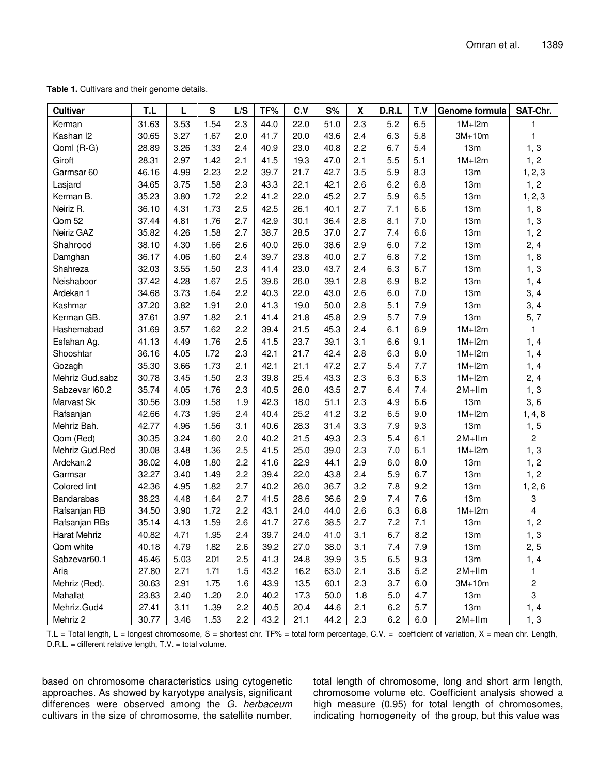**Table 1.** Cultivars and their genome details.

| Cultivar             | T.L   | L    | S    | L/S | TF%  | C.V  | S%   | X   | D.R.L | T.V | Genome formula | SAT-Chr.       |
|----------------------|-------|------|------|-----|------|------|------|-----|-------|-----|----------------|----------------|
| Kerman               | 31.63 | 3.53 | 1.54 | 2.3 | 44.0 | 22.0 | 51.0 | 2.3 | 5.2   | 6.5 | $1M+12m$       |                |
| Kashan <sub>12</sub> | 30.65 | 3.27 | 1.67 | 2.0 | 41.7 | 20.0 | 43.6 | 2.4 | 6.3   | 5.8 | $3M+10m$       | 1              |
| Qoml (R-G)           | 28.89 | 3.26 | 1.33 | 2.4 | 40.9 | 23.0 | 40.8 | 2.2 | 6.7   | 5.4 | 13m            | 1, 3           |
| Giroft               | 28.31 | 2.97 | 1.42 | 2.1 | 41.5 | 19.3 | 47.0 | 2.1 | 5.5   | 5.1 | $1M+12m$       | 1, 2           |
| Garmsar 60           | 46.16 | 4.99 | 2.23 | 2.2 | 39.7 | 21.7 | 42.7 | 3.5 | 5.9   | 8.3 | 13m            | 1, 2, 3        |
| Lasjard              | 34.65 | 3.75 | 1.58 | 2.3 | 43.3 | 22.1 | 42.1 | 2.6 | 6.2   | 6.8 | 13m            | 1, 2           |
| Kerman B.            | 35.23 | 3.80 | 1.72 | 2.2 | 41.2 | 22.0 | 45.2 | 2.7 | 5.9   | 6.5 | 13m            | 1, 2, 3        |
| Neiriz R.            | 36.10 | 4.31 | 1.73 | 2.5 | 42.5 | 26.1 | 40.1 | 2.7 | 7.1   | 6.6 | 13m            | 1, 8           |
| Qom 52               | 37.44 | 4.81 | 1.76 | 2.7 | 42.9 | 30.1 | 36.4 | 2.8 | 8.1   | 7.0 | 13m            | 1, 3           |
| Neiriz GAZ           | 35.82 | 4.26 | 1.58 | 2.7 | 38.7 | 28.5 | 37.0 | 2.7 | 7.4   | 6.6 | 13m            | 1, 2           |
| Shahrood             | 38.10 | 4.30 | 1.66 | 2.6 | 40.0 | 26.0 | 38.6 | 2.9 | 6.0   | 7.2 | 13m            | 2, 4           |
| Damghan              | 36.17 | 4.06 | 1.60 | 2.4 | 39.7 | 23.8 | 40.0 | 2.7 | 6.8   | 7.2 | 13m            | 1, 8           |
| Shahreza             | 32.03 | 3.55 | 1.50 | 2.3 | 41.4 | 23.0 | 43.7 | 2.4 | 6.3   | 6.7 | 13m            | 1, 3           |
| Neishaboor           | 37.42 | 4.28 | 1.67 | 2.5 | 39.6 | 26.0 | 39.1 | 2.8 | 6.9   | 8.2 | 13m            | 1, 4           |
| Ardekan 1            | 34.68 | 3.73 | 1.64 | 2.2 | 40.3 | 22.0 | 43.0 | 2.6 | 6.0   | 7.0 | 13m            | 3, 4           |
| Kashmar              | 37.20 | 3.82 | 1.91 | 2.0 | 41.3 | 19.0 | 50.0 | 2.8 | 5.1   | 7.9 | 13m            | 3, 4           |
| Kerman GB.           | 37.61 | 3.97 | 1.82 | 2.1 | 41.4 | 21.8 | 45.8 | 2.9 | 5.7   | 7.9 | 13m            | 5, 7           |
| Hashemabad           | 31.69 | 3.57 | 1.62 | 2.2 | 39.4 | 21.5 | 45.3 | 2.4 | 6.1   | 6.9 | $1M+12m$       | $\mathbf{1}$   |
| Esfahan Ag.          | 41.13 | 4.49 | 1.76 | 2.5 | 41.5 | 23.7 | 39.1 | 3.1 | 6.6   | 9.1 | $1M+12m$       | 1, 4           |
| Shooshtar            | 36.16 | 4.05 | 1.72 | 2.3 | 42.1 | 21.7 | 42.4 | 2.8 | 6.3   | 8.0 | $1M+12m$       | 1, 4           |
| Gozagh               | 35.30 | 3.66 | 1.73 | 2.1 | 42.1 | 21.1 | 47.2 | 2.7 | 5.4   | 7.7 | $1M+12m$       | 1, 4           |
| Mehriz Gud.sabz      | 30.78 | 3.45 | 1.50 | 2.3 | 39.8 | 25.4 | 43.3 | 2.3 | 6.3   | 6.3 | $1M+12m$       | 2, 4           |
| Sabzevar I60.2       | 35.74 | 4.05 | 1.76 | 2.3 | 40.5 | 26.0 | 43.5 | 2.7 | 6.4   | 7.4 | $2M+$ Ilm      | 1, 3           |
| Marvast Sk           | 30.56 | 3.09 | 1.58 | 1.9 | 42.3 | 18.0 | 51.1 | 2.3 | 4.9   | 6.6 | 13m            | 3, 6           |
| Rafsanjan            | 42.66 | 4.73 | 1.95 | 2.4 | 40.4 | 25.2 | 41.2 | 3.2 | 6.5   | 9.0 | $1M+12m$       | 1, 4, 8        |
| Mehriz Bah.          | 42.77 | 4.96 | 1.56 | 3.1 | 40.6 | 28.3 | 31.4 | 3.3 | 7.9   | 9.3 | 13m            | 1, 5           |
| Qom (Red)            | 30.35 | 3.24 | 1.60 | 2.0 | 40.2 | 21.5 | 49.3 | 2.3 | 5.4   | 6.1 | $2M+$ Ilm      | $\overline{2}$ |
| Mehriz Gud.Red       | 30.08 | 3.48 | 1.36 | 2.5 | 41.5 | 25.0 | 39.0 | 2.3 | 7.0   | 6.1 | $1M+12m$       | 1, 3           |
| Ardekan.2            | 38.02 | 4.08 | 1.80 | 2.2 | 41.6 | 22.9 | 44.1 | 2.9 | 6.0   | 8.0 | 13m            | 1, 2           |
| Garmsar              | 32.27 | 3.40 | 1.49 | 2.2 | 39.4 | 22.0 | 43.8 | 2.4 | 5.9   | 6.7 | 13m            | 1, 2           |
| Colored lint         | 42.36 | 4.95 | 1.82 | 2.7 | 40.2 | 26.0 | 36.7 | 3.2 | 7.8   | 9.2 | 13m            | 1, 2, 6        |
| Bandarabas           | 38.23 | 4.48 | 1.64 | 2.7 | 41.5 | 28.6 | 36.6 | 2.9 | 7.4   | 7.6 | 13m            | 3              |
| Rafsanjan RB         | 34.50 | 3.90 | 1.72 | 2.2 | 43.1 | 24.0 | 44.0 | 2.6 | 6.3   | 6.8 | $1M+12m$       | 4              |
| Rafsanjan RBs        | 35.14 | 4.13 | 1.59 | 2.6 | 41.7 | 27.6 | 38.5 | 2.7 | 7.2   | 7.1 | 13m            | 1, 2           |
| <b>Harat Mehriz</b>  | 40.82 | 4.71 | 1.95 | 2.4 | 39.7 | 24.0 | 41.0 | 3.1 | 6.7   | 8.2 | 13m            | 1, 3           |
| Qom white            | 40.18 | 4.79 | 1.82 | 2.6 | 39.2 | 27.0 | 38.0 | 3.1 | 7.4   | 7.9 | 13m            | 2, 5           |
| Sabzevar60.1         | 46.46 | 5.03 | 2.01 | 2.5 | 41.3 | 24.8 | 39.9 | 3.5 | 6.5   | 9.3 | 13m            | 1, 4           |
| Aria                 | 27.80 | 2.71 | 1.71 | 1.5 | 43.2 | 16.2 | 63.0 | 2.1 | 3.6   | 5.2 | $2M+$ Ilm      | $\mathbf{1}$   |
| Mehriz (Red).        | 30.63 | 2.91 | 1.75 | 1.6 | 43.9 | 13.5 | 60.1 | 2.3 | 3.7   | 6.0 | $3M+10m$       | $\overline{c}$ |
| Mahallat             | 23.83 | 2.40 | 1.20 | 2.0 | 40.2 | 17.3 | 50.0 | 1.8 | 5.0   | 4.7 | 13m            | 3              |
| Mehriz.Gud4          | 27.41 | 3.11 | 1.39 | 2.2 | 40.5 | 20.4 | 44.6 | 2.1 | 6.2   | 5.7 | 13m            | 1, 4           |
| Mehriz 2             | 30.77 | 3.46 | 1.53 | 2.2 | 43.2 | 21.1 | 44.2 | 2.3 | 6.2   | 6.0 | $2M+$ Ilm      | 1, 3           |

T.L = Total length, L = longest chromosome, S = shortest chr. TF% = total form percentage, C.V. = coefficient of variation, X = mean chr. Length, D.R.L. = different relative length, T.V. = total volume.

based on chromosome characteristics using cytogenetic approaches. As showed by karyotype analysis, significant differences were observed among the *G. herbaceum* cultivars in the size of chromosome, the satellite number, total length of chromosome, long and short arm length, chromosome volume etc. Coefficient analysis showed a high measure (0.95) for total length of chromosomes, indicating homogeneity of the group, but this value was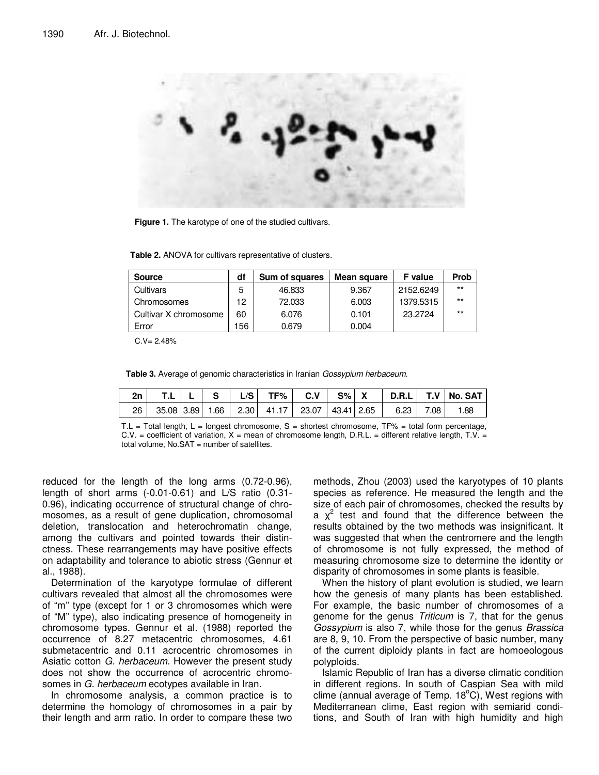

**Figure 1.** The karotype of one of the studied cultivars.

**Table 2.** ANOVA for cultivars representative of clusters.

| <b>Source</b>         | df | Sum of squares | Mean square | <b>F</b> value | <b>Prob</b> |
|-----------------------|----|----------------|-------------|----------------|-------------|
| Cultivars             | 5  | 46.833         | 9.367       | 2152.6249      | $***$       |
| Chromosomes           | 12 | 72.033         | 6.003       | 1379.5315      | $***$       |
| Cultivar X chromosome | 60 | 6.076          | 0.101       | 23.2724        | $***$       |
| Error                 | 56 | 0.679          | 0.004       |                |             |

 $C.V = 2.48%$ 

**Table 3.** Average of genomic characteristics in Iranian *Gossypium herbaceum*.

| 2n |  | S. | L/S I | TF%                                         | $C.V$ | S% X |      |      | D.R.L   T.V   No. SAT |
|----|--|----|-------|---------------------------------------------|-------|------|------|------|-----------------------|
| 26 |  |    |       | 35.08 3.89 1.66 2.30 41.17 23.07 43.41 2.65 |       |      | 6.23 | 7.08 | 1.88                  |

T.L = Total length,  $L =$  longest chromosome,  $S =$  shortest chromosome,  $TF% =$  total form percentage,  $C.V.$  = coefficient of variation,  $X$  = mean of chromosome length, D.R.L. = different relative length, T.V. = total volume,  $No.SAT = number of satellites.$ 

reduced for the length of the long arms (0.72-0.96), length of short arms (-0.01-0.61) and L/S ratio (0.31- 0.96), indicating occurrence of structural change of chromosomes, as a result of gene duplication, chromosomal deletion, translocation and heterochromatin change, among the cultivars and pointed towards their distinctness. These rearrangements may have positive effects on adaptability and tolerance to abiotic stress (Gennur et al., 1988).

Determination of the karyotype formulae of different cultivars revealed that almost all the chromosomes were of "m" type (except for 1 or 3 chromosomes which were of "M" type), also indicating presence of homogeneity in chromosome types. Gennur et al. (1988) reported the occurrence of 8.27 metacentric chromosomes, 4.61 submetacentric and 0.11 acrocentric chromosomes in Asiatic cotton *G. herbaceum.* However the present study does not show the occurrence of acrocentric chromosomes in *G. herbaceum* ecotypes available in Iran.

In chromosome analysis, a common practice is to determine the homology of chromosomes in a pair by their length and arm ratio. In order to compare these two methods, Zhou (2003) used the karyotypes of 10 plants species as reference. He measured the length and the size of each pair of chromosomes, checked the results by a  $\chi^2$  test and found that the difference between the results obtained by the two methods was insignificant. It was suggested that when the centromere and the length of chromosome is not fully expressed, the method of measuring chromosome size to determine the identity or disparity of chromosomes in some plants is feasible.

When the history of plant evolution is studied, we learn how the genesis of many plants has been established. For example, the basic number of chromosomes of a genome for the genus *Triticum* is 7, that for the genus *Gossypium* is also 7, while those for the genus *Brassica* are 8, 9, 10. From the perspective of basic number, many of the current diploidy plants in fact are homoeologous polyploids.

Islamic Republic of Iran has a diverse climatic condition in different regions. In south of Caspian Sea with mild clime (annual average of Temp. 18°C), West regions with Mediterranean clime, East region with semiarid conditions, and South of Iran with high humidity and high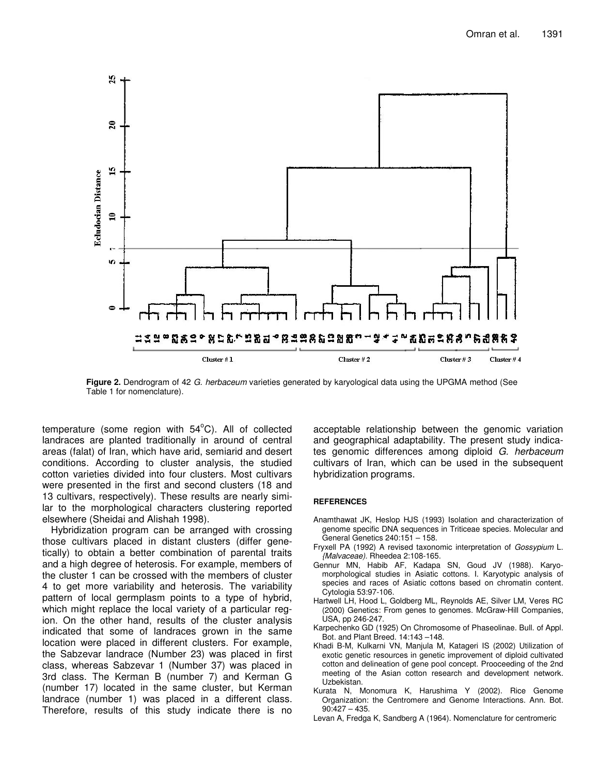

**Figure 2.** Dendrogram of 42 *G. herbaceum* varieties generated by karyological data using the UPGMA method (See Table 1 for nomenclature).

temperature (some region with  $54^{\circ}$ C). All of collected landraces are planted traditionally in around of central areas (falat) of Iran, which have arid, semiarid and desert conditions. According to cluster analysis, the studied cotton varieties divided into four clusters. Most cultivars were presented in the first and second clusters (18 and 13 cultivars, respectively). These results are nearly similar to the morphological characters clustering reported elsewhere (Sheidai and Alishah 1998).

Hybridization program can be arranged with crossing those cultivars placed in distant clusters (differ genetically) to obtain a better combination of parental traits and a high degree of heterosis. For example, members of the cluster 1 can be crossed with the members of cluster 4 to get more variability and heterosis. The variability pattern of local germplasm points to a type of hybrid, which might replace the local variety of a particular region. On the other hand, results of the cluster analysis indicated that some of landraces grown in the same location were placed in different clusters. For example, the Sabzevar landrace (Number 23) was placed in first class, whereas Sabzevar 1 (Number 37) was placed in 3rd class. The Kerman B (number 7) and Kerman G (number 17) located in the same cluster, but Kerman landrace (number 1) was placed in a different class. Therefore, results of this study indicate there is no

acceptable relationship between the genomic variation and geographical adaptability. The present study indicates genomic differences among diploid *G. herbaceum* cultivars of Iran, which can be used in the subsequent hybridization programs.

### **REFERENCES**

- Anamthawat JK, Heslop HJS (1993) Isolation and characterization of genome specific DNA sequences in Triticeae species. Molecular and General Genetics 240:151 – 158.
- Fryxell PA (1992) A revised taxonomic interpretation of *Gossypium* L. *{Malvaceae).* Rheedea 2:108-165.
- Gennur MN, Habib AF, Kadapa SN, Goud JV (1988). Karyomorphological studies in Asiatic cottons. I. Karyotypic analysis of species and races of Asiatic cottons based on chromatin content. Cytologia 53:97-106.
- Hartwell LH, Hood L, Goldberg ML, Reynolds AE, Silver LM, Veres RC (2000) Genetics: From genes to genomes. McGraw-Hill Companies, USA, pp 246-247.
- Karpechenko GD (1925) On Chromosome of Phaseolinae. Bull. of Appl. Bot. and Plant Breed. 14:143 –148.
- Khadi B-M, Kulkarni VN, Manjula M, Katageri IS (2002) Utilization of exotic genetic resources in genetic improvement of diploid cultivated cotton and delineation of gene pool concept. Prooceeding of the 2nd meeting of the Asian cotton research and development network. Uzbekistan.
- Kurata N, Monomura K, Harushima Y (2002). Rice Genome Organization: the Centromere and Genome Interactions. Ann. Bot.  $90:427 - 435.$
- Levan A, Fredga K, Sandberg A (1964). Nomenclature for centromeric